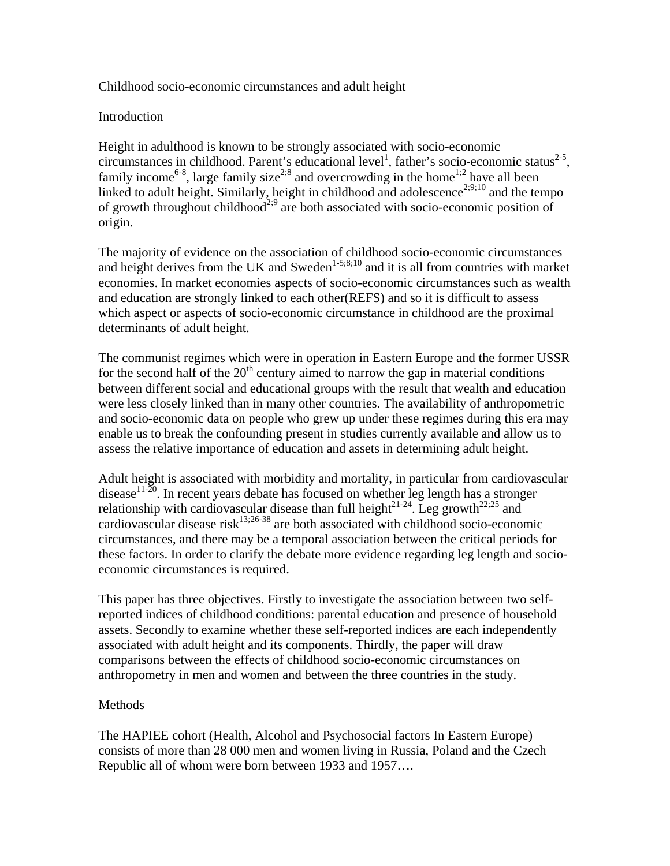## Childhood socio-economic circumstances and adult height

### Introduction

Height in adulthood is known to be strongly associated with socio-economic circumstances in childhood. Parent's educational level<sup>1</sup>, father's socio-economic status<sup>2-5</sup>, family income<sup>6-8</sup>, large family size<sup>2;8</sup> and overcrowding in the home<sup>1;2</sup> have all been linked to adult height. Similarly, height in childhood and adolescence<sup>2;9;10</sup> and the tempo of growth throughout childhood<sup>2;9</sup> are both associated with socio-economic position of origin.

The majority of evidence on the association of childhood socio-economic circumstances and height derives from the UK and Sweden<sup>1-5;8;10</sup> and it is all from countries with market economies. In market economies aspects of socio-economic circumstances such as wealth and education are strongly linked to each other(REFS) and so it is difficult to assess which aspect or aspects of socio-economic circumstance in childhood are the proximal determinants of adult height.

The communist regimes which were in operation in Eastern Europe and the former USSR for the second half of the  $20<sup>th</sup>$  century aimed to narrow the gap in material conditions between different social and educational groups with the result that wealth and education were less closely linked than in many other countries. The availability of anthropometric and socio-economic data on people who grew up under these regimes during this era may enable us to break the confounding present in studies currently available and allow us to assess the relative importance of education and assets in determining adult height.

Adult height is associated with morbidity and mortality, in particular from cardiovascular disease<sup>11-20</sup>. In recent years debate has focused on whether leg length has a stronger relationship with cardiovascular disease than full height<sup>21-24</sup>. Leg growth<sup>22;25</sup> and cardiovascular disease risk<sup>13;26-38</sup> are both associated with childhood socio-economic circumstances, and there may be a temporal association between the critical periods for these factors. In order to clarify the debate more evidence regarding leg length and socioeconomic circumstances is required.

This paper has three objectives. Firstly to investigate the association between two selfreported indices of childhood conditions: parental education and presence of household assets. Secondly to examine whether these self-reported indices are each independently associated with adult height and its components. Thirdly, the paper will draw comparisons between the effects of childhood socio-economic circumstances on anthropometry in men and women and between the three countries in the study.

## **Methods**

The HAPIEE cohort (Health, Alcohol and Psychosocial factors In Eastern Europe) consists of more than 28 000 men and women living in Russia, Poland and the Czech Republic all of whom were born between 1933 and 1957….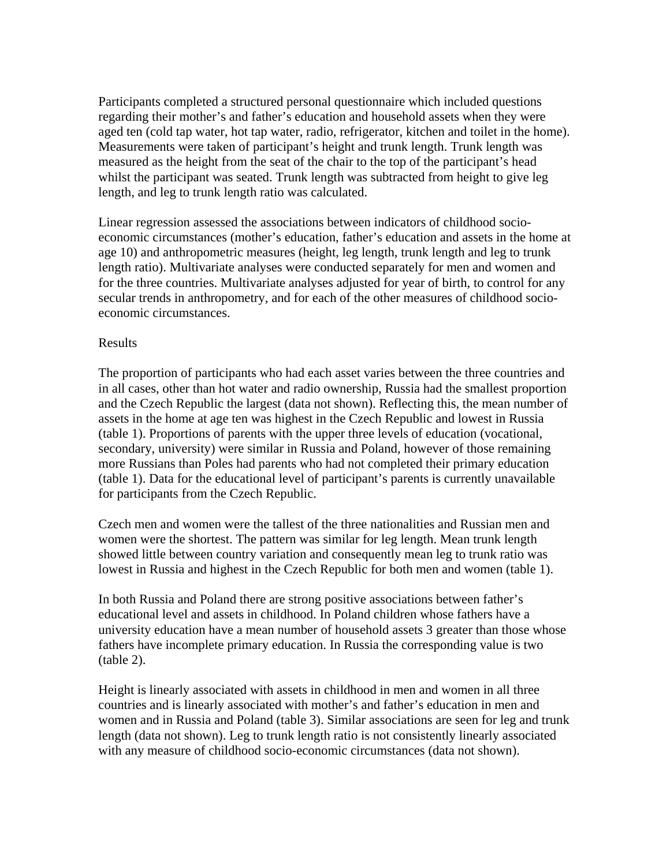Participants completed a structured personal questionnaire which included questions regarding their mother's and father's education and household assets when they were aged ten (cold tap water, hot tap water, radio, refrigerator, kitchen and toilet in the home). Measurements were taken of participant's height and trunk length. Trunk length was measured as the height from the seat of the chair to the top of the participant's head whilst the participant was seated. Trunk length was subtracted from height to give leg length, and leg to trunk length ratio was calculated.

Linear regression assessed the associations between indicators of childhood socioeconomic circumstances (mother's education, father's education and assets in the home at age 10) and anthropometric measures (height, leg length, trunk length and leg to trunk length ratio). Multivariate analyses were conducted separately for men and women and for the three countries. Multivariate analyses adjusted for year of birth, to control for any secular trends in anthropometry, and for each of the other measures of childhood socioeconomic circumstances.

#### Results

The proportion of participants who had each asset varies between the three countries and in all cases, other than hot water and radio ownership, Russia had the smallest proportion and the Czech Republic the largest (data not shown). Reflecting this, the mean number of assets in the home at age ten was highest in the Czech Republic and lowest in Russia (table 1). Proportions of parents with the upper three levels of education (vocational, secondary, university) were similar in Russia and Poland, however of those remaining more Russians than Poles had parents who had not completed their primary education (table 1). Data for the educational level of participant's parents is currently unavailable for participants from the Czech Republic.

Czech men and women were the tallest of the three nationalities and Russian men and women were the shortest. The pattern was similar for leg length. Mean trunk length showed little between country variation and consequently mean leg to trunk ratio was lowest in Russia and highest in the Czech Republic for both men and women (table 1).

In both Russia and Poland there are strong positive associations between father's educational level and assets in childhood. In Poland children whose fathers have a university education have a mean number of household assets 3 greater than those whose fathers have incomplete primary education. In Russia the corresponding value is two (table 2).

Height is linearly associated with assets in childhood in men and women in all three countries and is linearly associated with mother's and father's education in men and women and in Russia and Poland (table 3). Similar associations are seen for leg and trunk length (data not shown). Leg to trunk length ratio is not consistently linearly associated with any measure of childhood socio-economic circumstances (data not shown).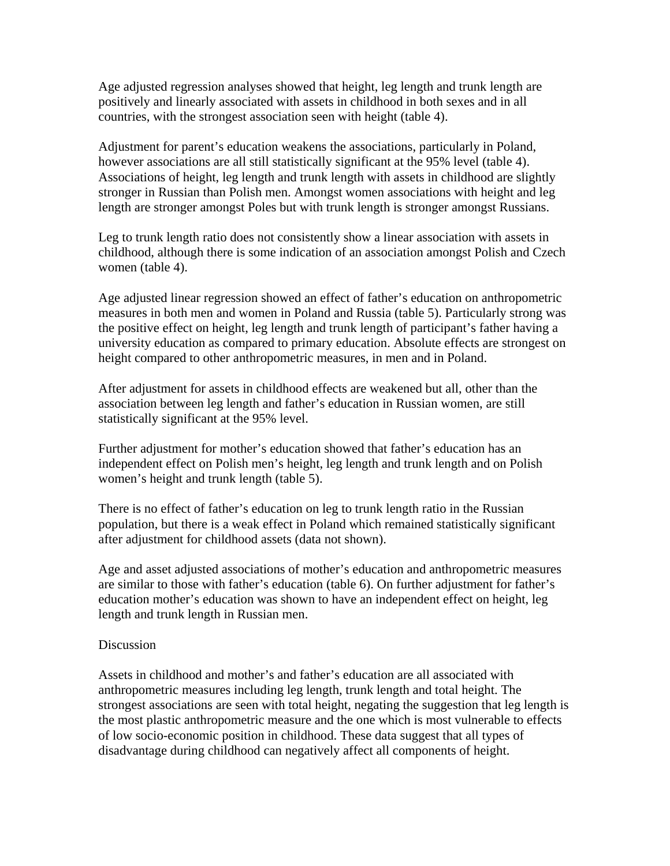Age adjusted regression analyses showed that height, leg length and trunk length are positively and linearly associated with assets in childhood in both sexes and in all countries, with the strongest association seen with height (table 4).

Adjustment for parent's education weakens the associations, particularly in Poland, however associations are all still statistically significant at the 95% level (table 4). Associations of height, leg length and trunk length with assets in childhood are slightly stronger in Russian than Polish men. Amongst women associations with height and leg length are stronger amongst Poles but with trunk length is stronger amongst Russians.

Leg to trunk length ratio does not consistently show a linear association with assets in childhood, although there is some indication of an association amongst Polish and Czech women (table 4).

Age adjusted linear regression showed an effect of father's education on anthropometric measures in both men and women in Poland and Russia (table 5). Particularly strong was the positive effect on height, leg length and trunk length of participant's father having a university education as compared to primary education. Absolute effects are strongest on height compared to other anthropometric measures, in men and in Poland.

After adjustment for assets in childhood effects are weakened but all, other than the association between leg length and father's education in Russian women, are still statistically significant at the 95% level.

Further adjustment for mother's education showed that father's education has an independent effect on Polish men's height, leg length and trunk length and on Polish women's height and trunk length (table 5).

There is no effect of father's education on leg to trunk length ratio in the Russian population, but there is a weak effect in Poland which remained statistically significant after adjustment for childhood assets (data not shown).

Age and asset adjusted associations of mother's education and anthropometric measures are similar to those with father's education (table 6). On further adjustment for father's education mother's education was shown to have an independent effect on height, leg length and trunk length in Russian men.

#### **Discussion**

Assets in childhood and mother's and father's education are all associated with anthropometric measures including leg length, trunk length and total height. The strongest associations are seen with total height, negating the suggestion that leg length is the most plastic anthropometric measure and the one which is most vulnerable to effects of low socio-economic position in childhood. These data suggest that all types of disadvantage during childhood can negatively affect all components of height.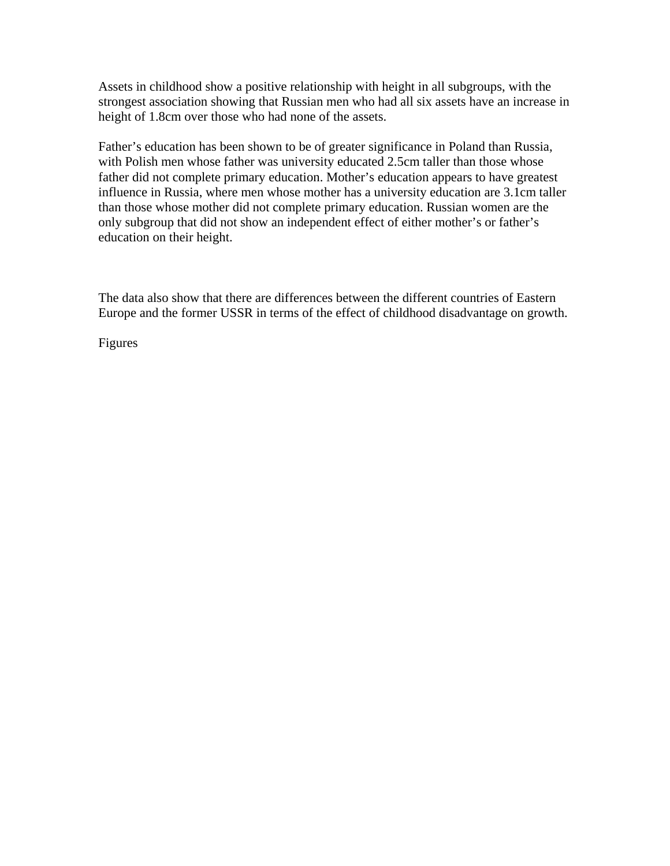Assets in childhood show a positive relationship with height in all subgroups, with the strongest association showing that Russian men who had all six assets have an increase in height of 1.8cm over those who had none of the assets.

Father's education has been shown to be of greater significance in Poland than Russia, with Polish men whose father was university educated 2.5cm taller than those whose father did not complete primary education. Mother's education appears to have greatest influence in Russia, where men whose mother has a university education are 3.1cm taller than those whose mother did not complete primary education. Russian women are the only subgroup that did not show an independent effect of either mother's or father's education on their height.

The data also show that there are differences between the different countries of Eastern Europe and the former USSR in terms of the effect of childhood disadvantage on growth.

Figures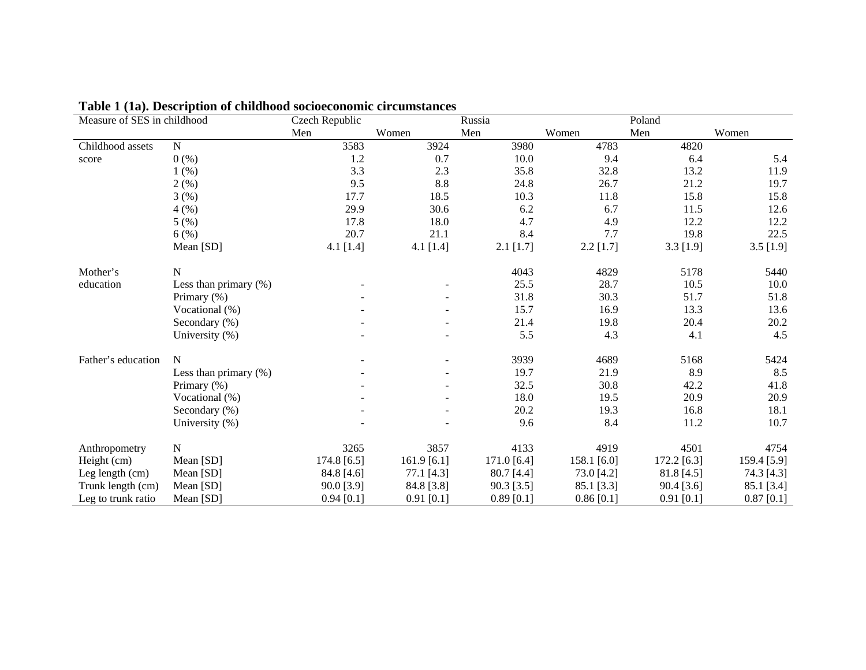| Measure of SES in childhood |                          | Czech Republic |              | Russia        |              | Poland        |              |
|-----------------------------|--------------------------|----------------|--------------|---------------|--------------|---------------|--------------|
|                             |                          | Men            | Women        | Men           | Women        | Men           | Women        |
| Childhood assets            | ${\bf N}$                | 3583           | 3924         | 3980          | 4783         | 4820          |              |
| score                       | 0(%)                     | 1.2            | 0.7          | 10.0          | 9.4          | 6.4           | 5.4          |
|                             | 1(%)                     | 3.3            | 2.3          | 35.8          | 32.8         | 13.2          | 11.9         |
|                             | 2(%)                     | 9.5            | 8.8          | 24.8          | 26.7         | 21.2          | 19.7         |
|                             | 3(%)                     | 17.7           | 18.5         | 10.3          | 11.8         | 15.8          | 15.8         |
|                             | 4(%)                     | 29.9           | 30.6         | 6.2           | 6.7          | 11.5          | 12.6         |
|                             | 5(%)                     | 17.8           | 18.0         | 4.7           | 4.9          | 12.2          | 12.2         |
|                             | 6(%)                     | 20.7           | 21.1         | 8.4           | 7.7          | 19.8          | 22.5         |
|                             | Mean [SD]                | $4.1$ [1.4]    | 4.1 [1.4]    | $2.1$ [1.7]   | $2.2$ [1.7]  | $3.3$ [1.9]   | $3.5$ [1.9]  |
| Mother's                    | N                        |                |              | 4043          | 4829         | 5178          | 5440         |
| education                   | Less than primary $(\%)$ |                |              | 25.5          | 28.7         | 10.5          | 10.0         |
|                             | Primary (%)              |                |              | 31.8          | 30.3         | 51.7          | 51.8         |
|                             | Vocational (%)           |                |              | 15.7          | 16.9         | 13.3          | 13.6         |
|                             | Secondary (%)            |                |              | 21.4          | 19.8         | 20.4          | 20.2         |
|                             | University (%)           |                |              | 5.5           | 4.3          | 4.1           | 4.5          |
| Father's education          | N                        |                |              | 3939          | 4689         | 5168          | 5424         |
|                             | Less than primary $(\%)$ |                |              | 19.7          | 21.9         | 8.9           | 8.5          |
|                             | Primary (%)              |                |              | 32.5          | 30.8         | 42.2          | 41.8         |
|                             | Vocational (%)           |                |              | 18.0          | 19.5         | 20.9          | 20.9         |
|                             | Secondary (%)            |                |              | 20.2          | 19.3         | 16.8          | 18.1         |
|                             | University (%)           |                |              | 9.6           | 8.4          | 11.2          | 10.7         |
| Anthropometry               | $\mathbf N$              | 3265           | 3857         | 4133          | 4919         | 4501          | 4754         |
| Height (cm)                 | Mean [SD]                | 174.8 [6.5]    | 161.9[6.1]   | 171.0 $[6.4]$ | 158.1 [6.0]  | $172.2$ [6.3] | 159.4 [5.9]  |
| Leg length (cm)             | Mean [SD]                | 84.8 [4.6]     | 77.1 [4.3]   | 80.7 [4.4]    | 73.0 [4.2]   | 81.8 [4.5]    | 74.3 [4.3]   |
| Trunk length (cm)           | Mean [SD]                | 90.0 [3.9]     | 84.8 [3.8]   | 90.3 [3.5]    | 85.1 [3.3]   | 90.4 [3.6]    | 85.1 [3.4]   |
| Leg to trunk ratio          | Mean [SD]                | $0.94$ [0.1]   | $0.91$ [0.1] | $0.89$ [0.1]  | $0.86$ [0.1] | $0.91$ [0.1]  | $0.87$ [0.1] |

**Table 1 (1a). Description of childhood socioeconomic circumstances**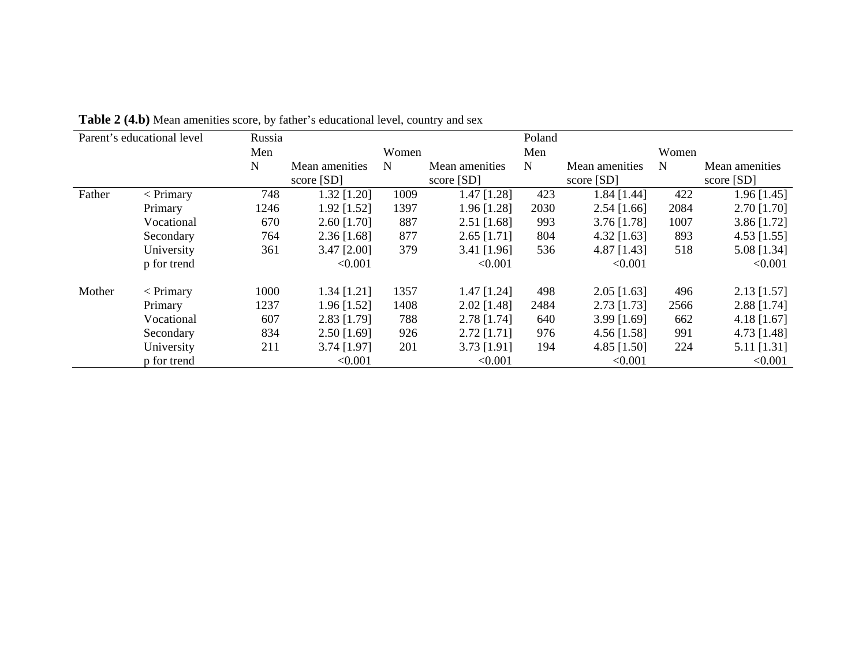|        | Parent's educational level | Russia |                |       |                | Poland      |                |             |                |
|--------|----------------------------|--------|----------------|-------|----------------|-------------|----------------|-------------|----------------|
|        |                            | Men    |                | Women |                | Men         |                | Women       |                |
|        |                            | N      | Mean amenities | N     | Mean amenities | $\mathbf N$ | Mean amenities | $\mathbf N$ | Mean amenities |
|        |                            |        | score [SD]     |       | score [SD]     |             | score $[SD]$   |             | score [SD]     |
| Father | $<$ Primary                | 748    | $1.32$ [1.20]  | 1009  | $1.47$ [1.28]  | 423         | $1.84$ [1.44]  | 422         | $1.96$ [1.45]  |
|        | Primary                    | 1246   | $1.92$ [1.52]  | 1397  | $1.96$ [1.28]  | 2030        | $2.54$ [1.66]  | 2084        | $2.70$ [1.70]  |
|        | Vocational                 | 670    | $2.60$ [1.70]  | 887   | $2.51$ [1.68]  | 993         | 3.76 [1.78]    | 1007        | $3.86$ [1.72]  |
|        | Secondary                  | 764    | $2.36$ [1.68]  | 877   | $2.65$ [1.71]  | 804         | 4.32 $[1.63]$  | 893         | $4.53$ [1.55]  |
|        | University                 | 361    | $3.47$ [2.00]  | 379   | $3.41$ [1.96]  | 536         | 4.87 [1.43]    | 518         | 5.08 [1.34]    |
|        | p for trend                |        | < 0.001        |       | < 0.001        |             | < 0.001        |             | < 0.001        |
| Mother | $\langle$ Primary          | 1000   | $1.34$ [1.21]  | 1357  | $1.47$ [1.24]  | 498         | $2.05$ [1.63]  | 496         | $2.13$ [1.57]  |
|        | Primary                    | 1237   | $1.96$ [1.52]  | 1408  | $2.02$ [1.48]  | 2484        | $2.73$ [1.73]  | 2566        | $2.88$ [1.74]  |
|        | Vocational                 | 607    | 2.83 [1.79]    | 788   | 2.78 [1.74]    | 640         | 3.99 [1.69]    | 662         | $4.18$ [1.67]  |
|        | Secondary                  | 834    | $2.50$ [1.69]  | 926   | $2.72$ [1.71]  | 976         | $4.56$ [1.58]  | 991         | 4.73 [1.48]    |
|        | University                 | 211    | $3.74$ [1.97]  | 201   | $3.73$ [1.91]  | 194         | 4.85 [1.50]    | 224         | 5.11 [1.31]    |
|        | p for trend                |        | < 0.001        |       | < 0.001        |             | < 0.001        |             | < 0.001        |

Table 2 (4.b) Mean amenities score, by father's educational level, country and sex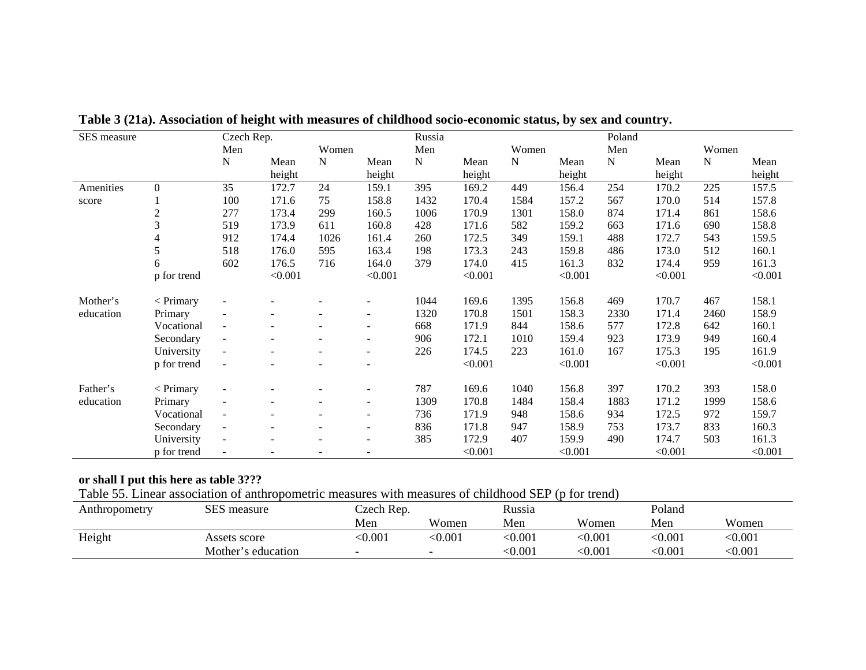| SES measure |                   | Czech Rep.               |                          |             |                          | Russia    |         |             |         | Poland    |         |           |         |
|-------------|-------------------|--------------------------|--------------------------|-------------|--------------------------|-----------|---------|-------------|---------|-----------|---------|-----------|---------|
|             |                   | Men                      |                          | Women       |                          | Men       |         | Women       |         | Men       |         | Women     |         |
|             |                   | ${\bf N}$                | Mean                     | $\mathbf N$ | Mean                     | ${\bf N}$ | Mean    | $\mathbf N$ | Mean    | ${\bf N}$ | Mean    | ${\bf N}$ | Mean    |
|             |                   |                          | height                   |             | height                   |           | height  |             | height  |           | height  |           | height  |
| Amenities   | 0                 | 35                       | 172.7                    | 24          | 159.1                    | 395       | 169.2   | 449         | 156.4   | 254       | 170.2   | 225       | 157.5   |
| score       |                   | 100                      | 171.6                    | 75          | 158.8                    | 1432      | 170.4   | 1584        | 157.2   | 567       | 170.0   | 514       | 157.8   |
|             | $\overline{c}$    | 277                      | 173.4                    | 299         | 160.5                    | 1006      | 170.9   | 1301        | 158.0   | 874       | 171.4   | 861       | 158.6   |
|             | 3                 | 519                      | 173.9                    | 611         | 160.8                    | 428       | 171.6   | 582         | 159.2   | 663       | 171.6   | 690       | 158.8   |
|             | 4                 | 912                      | 174.4                    | 1026        | 161.4                    | 260       | 172.5   | 349         | 159.1   | 488       | 172.7   | 543       | 159.5   |
|             | 5                 | 518                      | 176.0                    | 595         | 163.4                    | 198       | 173.3   | 243         | 159.8   | 486       | 173.0   | 512       | 160.1   |
|             | 6                 | 602                      | 176.5                    | 716         | 164.0                    | 379       | 174.0   | 415         | 161.3   | 832       | 174.4   | 959       | 161.3   |
|             | p for trend       |                          | < 0.001                  |             | < 0.001                  |           | < 0.001 |             | < 0.001 |           | < 0.001 |           | < 0.001 |
| Mother's    | $\langle$ Primary |                          |                          |             |                          | 1044      | 169.6   | 1395        | 156.8   | 469       | 170.7   | 467       | 158.1   |
| education   | Primary           | $\overline{\phantom{a}}$ |                          |             |                          | 1320      | 170.8   | 1501        | 158.3   | 2330      | 171.4   | 2460      | 158.9   |
|             | Vocational        | $\blacksquare$           |                          |             |                          | 668       | 171.9   | 844         | 158.6   | 577       | 172.8   | 642       | 160.1   |
|             | Secondary         | $\blacksquare$           |                          |             |                          | 906       | 172.1   | 1010        | 159.4   | 923       | 173.9   | 949       | 160.4   |
|             | University        | $\blacksquare$           | $\overline{\phantom{a}}$ |             | $\overline{\phantom{a}}$ | 226       | 174.5   | 223         | 161.0   | 167       | 175.3   | 195       | 161.9   |
|             | p for trend       | $\sim$                   |                          |             |                          |           | < 0.001 |             | < 0.001 |           | < 0.001 |           | < 0.001 |
| Father's    | $<$ Primary       |                          |                          |             |                          | 787       | 169.6   | 1040        | 156.8   | 397       | 170.2   | 393       | 158.0   |
| education   | Primary           | $\overline{\phantom{a}}$ |                          |             |                          | 1309      | 170.8   | 1484        | 158.4   | 1883      | 171.2   | 1999      | 158.6   |
|             | Vocational        | $\blacksquare$           |                          |             |                          | 736       | 171.9   | 948         | 158.6   | 934       | 172.5   | 972       | 159.7   |
|             | Secondary         | $\blacksquare$           | $\overline{\phantom{a}}$ |             | $\overline{\phantom{a}}$ | 836       | 171.8   | 947         | 158.9   | 753       | 173.7   | 833       | 160.3   |
|             | University        | $\blacksquare$           |                          |             | $\overline{\phantom{a}}$ | 385       | 172.9   | 407         | 159.9   | 490       | 174.7   | 503       | 161.3   |
|             | p for trend       | $\overline{\phantom{a}}$ |                          |             |                          |           | < 0.001 |             | < 0.001 |           | < 0.001 |           | < 0.001 |

**Table 3 (21a). Association of height with measures of childhood socio-economic status, by sex and country.** 

# **or shall I put this here as table 3???**

Table 55. Linear association of anthropometric measures with measures of childhood SEP (p for trend)

| Anthropometry | SES measure        | Czech Rep. |        | Russia  |         |         | Poland  |  |
|---------------|--------------------|------------|--------|---------|---------|---------|---------|--|
|               |                    | Men        | Women  | Men     | Women   | Men     | Women   |  |
| Height        | Assets score       | < 0.001    | :0.001 | $0.001$ | < 0.001 | $0.001$ | < 0.001 |  |
|               | Mother's education | -          |        | $0.001$ | < 0.001 | $0.001$ | < 0.001 |  |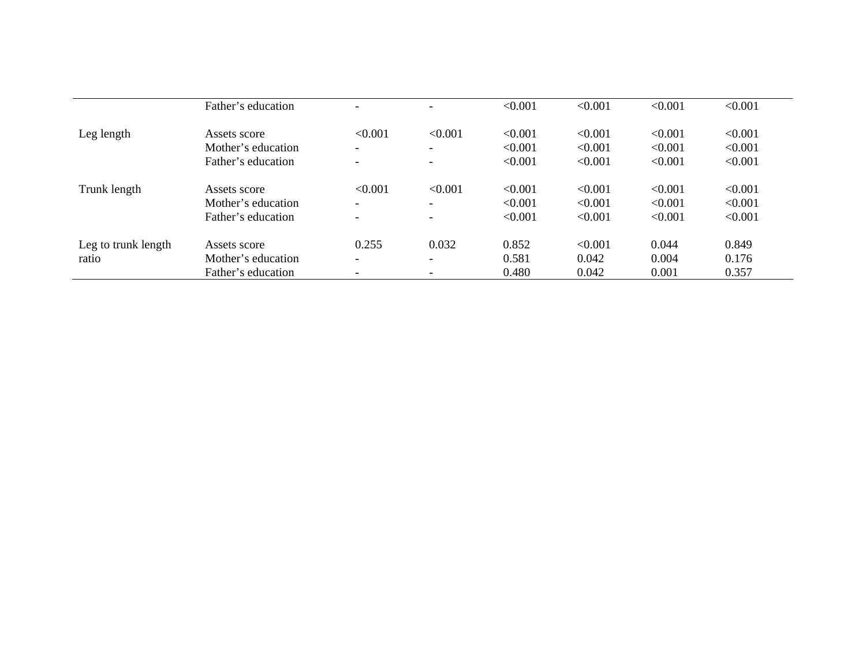|                     | Father's education |                              | $\overline{\phantom{0}}$ | < 0.001 | < 0.001 | < 0.001 | < 0.001 |
|---------------------|--------------------|------------------------------|--------------------------|---------|---------|---------|---------|
| Leg length          | Assets score       | < 0.001                      | < 0.001                  | < 0.001 | < 0.001 | < 0.001 | < 0.001 |
|                     | Mother's education | $\overline{\phantom{a}}$     | $\overline{\phantom{0}}$ | < 0.001 | < 0.001 | < 0.001 | < 0.001 |
|                     | Father's education | $\overline{\phantom{0}}$     | $\overline{\phantom{0}}$ | < 0.001 | < 0.001 | < 0.001 | < 0.001 |
| Trunk length        | Assets score       | < 0.001                      | < 0.001                  | < 0.001 | < 0.001 | < 0.001 | < 0.001 |
|                     | Mother's education | $\overline{\phantom{0}}$     | $\overline{\phantom{0}}$ | < 0.001 | < 0.001 | < 0.001 | < 0.001 |
|                     | Father's education | $\qquad \qquad \blacksquare$ | $\overline{\phantom{0}}$ | < 0.001 | < 0.001 | < 0.001 | < 0.001 |
| Leg to trunk length | Assets score       | 0.255                        | 0.032                    | 0.852   | < 0.001 | 0.044   | 0.849   |
| ratio               | Mother's education | $\overline{\phantom{a}}$     | -                        | 0.581   | 0.042   | 0.004   | 0.176   |
|                     | Father's education |                              |                          | 0.480   | 0.042   | 0.001   | 0.357   |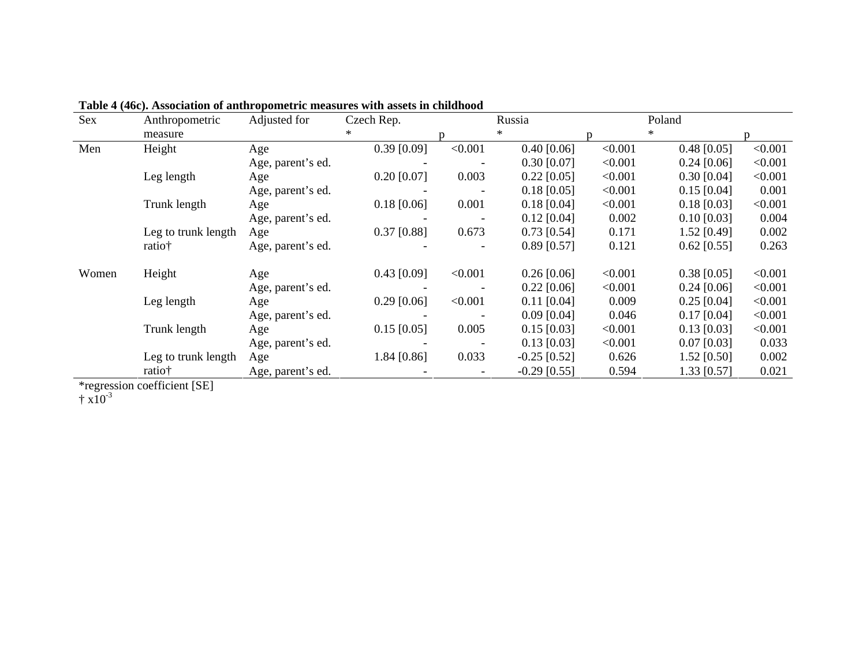| Sex   | Anthropometric      | Adjusted for      | Czech Rep.    |         | Russia         |         | Poland        |         |
|-------|---------------------|-------------------|---------------|---------|----------------|---------|---------------|---------|
|       | measure             |                   | ∗             |         | $\ast$         |         | $\ast$        |         |
| Men   | Height              | Age               | $0.39$ [0.09] | < 0.001 | $0.40$ [0.06]  | < 0.001 | $0.48$ [0.05] | < 0.001 |
|       |                     | Age, parent's ed. |               |         | $0.30$ [0.07]  | < 0.001 | $0.24$ [0.06] | < 0.001 |
|       | Leg length          | Age               | $0.20$ [0.07] | 0.003   | $0.22$ [0.05]  | < 0.001 | $0.30$ [0.04] | < 0.001 |
|       |                     | Age, parent's ed. |               |         | $0.18$ [0.05]  | < 0.001 | $0.15$ [0.04] | 0.001   |
|       | Trunk length        | Age               | $0.18$ [0.06] | 0.001   | $0.18$ [0.04]  | < 0.001 | $0.18$ [0.03] | < 0.001 |
|       |                     | Age, parent's ed. |               |         | $0.12$ [0.04]  | 0.002   | $0.10$ [0.03] | 0.004   |
|       | Leg to trunk length | Age               | $0.37$ [0.88] | 0.673   | $0.73$ [0.54]  | 0.171   | 1.52 [0.49]   | 0.002   |
|       | ratio†              | Age, parent's ed. |               |         | $0.89$ [0.57]  | 0.121   | $0.62$ [0.55] | 0.263   |
| Women | Height              | Age               | $0.43$ [0.09] | < 0.001 | $0.26$ [0.06]  | < 0.001 | $0.38$ [0.05] | < 0.001 |
|       |                     | Age, parent's ed. |               |         | $0.22$ [0.06]  | < 0.001 | $0.24$ [0.06] | < 0.001 |
|       | Leg length          | Age               | $0.29$ [0.06] | < 0.001 | $0.11$ [0.04]  | 0.009   | $0.25$ [0.04] | < 0.001 |
|       |                     | Age, parent's ed. |               |         | $0.09$ [0.04]  | 0.046   | $0.17$ [0.04] | < 0.001 |
|       | Trunk length        | Age               | $0.15$ [0.05] | 0.005   | $0.15$ [0.03]  | < 0.001 | $0.13$ [0.03] | < 0.001 |
|       |                     | Age, parent's ed. |               |         | $0.13$ [0.03]  | < 0.001 | $0.07$ [0.03] | 0.033   |
|       | Leg to trunk length | Age               | 1.84 [0.86]   | 0.033   | $-0.25$ [0.52] | 0.626   | $1.52$ [0.50] | 0.002   |
|       | ratio†              | Age, parent's ed. |               |         | $-0.29$ [0.55] | 0.594   | 1.33 [0.57]   | 0.021   |

**Table 4 (46c). Association of anthropometric measures with assets in childhood** 

\*regression coefficient [SE]

 $\dagger$  x10<sup>-3</sup>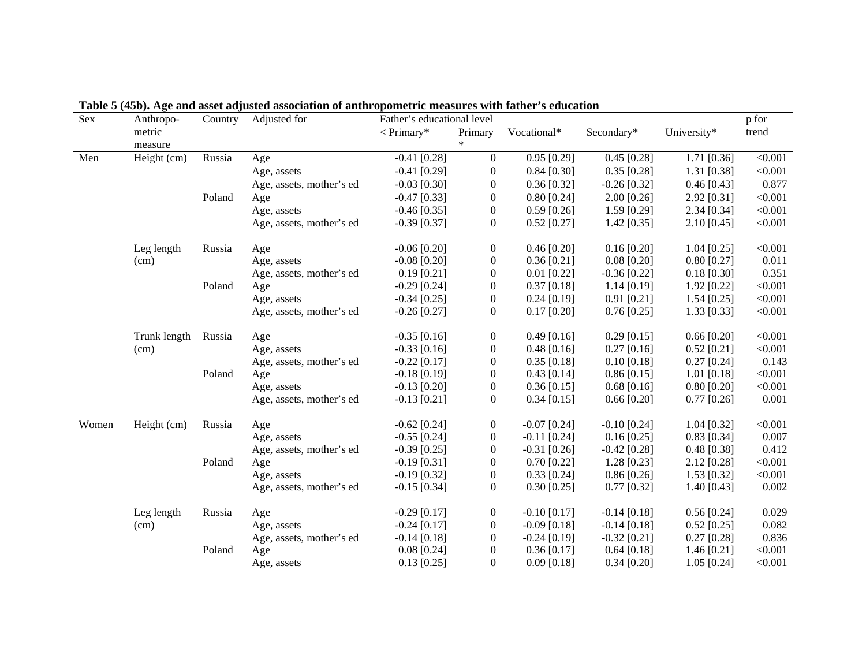| Sex   | Anthropo-    | Country | Adjusted for             | Father's educational level |                  |                |                |               | p for   |
|-------|--------------|---------|--------------------------|----------------------------|------------------|----------------|----------------|---------------|---------|
|       | metric       |         |                          | $\langle$ Primary*         | Primary          | Vocational*    | Secondary*     | University*   | trend   |
|       | measure      |         |                          |                            |                  |                |                |               |         |
| Men   | Height (cm)  | Russia  | Age                      | $-0.41$ [0.28]             | $\mathbf{0}$     | $0.95$ [0.29]  | $0.45$ [0.28]  | $1.71$ [0.36] | < 0.001 |
|       |              |         | Age, assets              | $-0.41$ [0.29]             | $\boldsymbol{0}$ | $0.84$ [0.30]  | $0.35$ [0.28]  | $1.31$ [0.38] | < 0.001 |
|       |              |         | Age, assets, mother's ed | $-0.03$ [0.30]             | $\boldsymbol{0}$ | $0.36$ [0.32]  | $-0.26$ [0.32] | $0.46$ [0.43] | 0.877   |
|       |              | Poland  | Age                      | $-0.47$ [0.33]             | $\boldsymbol{0}$ | $0.80$ [0.24]  | $2.00$ [0.26]  | $2.92$ [0.31] | < 0.001 |
|       |              |         | Age, assets              | $-0.46$ [0.35]             | $\boldsymbol{0}$ | $0.59$ [0.26]  | $1.59$ [0.29]  | $2.34$ [0.34] | < 0.001 |
|       |              |         | Age, assets, mother's ed | $-0.39$ [0.37]             | $\boldsymbol{0}$ | $0.52$ [0.27]  | $1.42$ [0.35]  | $2.10$ [0.45] | < 0.001 |
|       | Leg length   | Russia  | Age                      | $-0.06$ [0.20]             | $\boldsymbol{0}$ | $0.46$ [0.20]  | $0.16$ [0.20]  | $1.04$ [0.25] | < 0.001 |
|       | (cm)         |         | Age, assets              | $-0.08$ [0.20]             | $\boldsymbol{0}$ | $0.36$ [0.21]  | $0.08$ [0.20]  | $0.80$ [0.27] | 0.011   |
|       |              |         | Age, assets, mother's ed | $0.19$ [0.21]              | $\boldsymbol{0}$ | $0.01$ [0.22]  | $-0.36$ [0.22] | $0.18$ [0.30] | 0.351   |
|       |              | Poland  | Age                      | $-0.29$ [0.24]             | $\boldsymbol{0}$ | $0.37$ [0.18]  | $1.14$ [0.19]  | 1.92 [0.22]   | < 0.001 |
|       |              |         | Age, assets              | $-0.34$ [0.25]             | $\boldsymbol{0}$ | $0.24$ [0.19]  | $0.91$ [0.21]  | $1.54$ [0.25] | < 0.001 |
|       |              |         | Age, assets, mother's ed | $-0.26$ [0.27]             | $\boldsymbol{0}$ | $0.17$ [0.20]  | $0.76$ [0.25]  | $1.33$ [0.33] | < 0.001 |
|       | Trunk length | Russia  | Age                      | $-0.35$ [0.16]             | $\boldsymbol{0}$ | $0.49$ [0.16]  | $0.29$ [0.15]  | $0.66$ [0.20] | < 0.001 |
|       | (cm)         |         | Age, assets              | $-0.33$ [0.16]             | $\boldsymbol{0}$ | $0.48$ [0.16]  | $0.27$ [0.16]  | $0.52$ [0.21] | < 0.001 |
|       |              |         | Age, assets, mother's ed | $-0.22$ [0.17]             | $\boldsymbol{0}$ | $0.35$ [0.18]  | $0.10$ [0.18]  | $0.27$ [0.24] | 0.143   |
|       |              | Poland  | Age                      | $-0.18$ [0.19]             | $\boldsymbol{0}$ | $0.43$ [0.14]  | $0.86$ [0.15]  | $1.01$ [0.18] | < 0.001 |
|       |              |         | Age, assets              | $-0.13$ [0.20]             | $\boldsymbol{0}$ | $0.36$ [0.15]  | $0.68$ [0.16]  | $0.80$ [0.20] | < 0.001 |
|       |              |         | Age, assets, mother's ed | $-0.13$ [0.21]             | $\boldsymbol{0}$ | $0.34$ [0.15]  | $0.66$ [0.20]  | $0.77$ [0.26] | 0.001   |
| Women | Height (cm)  | Russia  | Age                      | $-0.62$ [0.24]             | $\boldsymbol{0}$ | $-0.07$ [0.24] | $-0.10$ [0.24] | $1.04$ [0.32] | < 0.001 |
|       |              |         | Age, assets              | $-0.55$ [0.24]             | $\boldsymbol{0}$ | $-0.11$ [0.24] | $0.16$ [0.25]  | $0.83$ [0.34] | 0.007   |
|       |              |         | Age, assets, mother's ed | $-0.39$ [0.25]             | $\boldsymbol{0}$ | $-0.31$ [0.26] | $-0.42$ [0.28] | $0.48$ [0.38] | 0.412   |
|       |              | Poland  | Age                      | $-0.19$ [0.31]             | $\boldsymbol{0}$ | $0.70$ [0.22]  | $1.28$ [0.23]  | $2.12$ [0.28] | < 0.001 |
|       |              |         | Age, assets              | $-0.19$ [0.32]             | $\boldsymbol{0}$ | $0.33$ [0.24]  | $0.86$ [0.26]  | $1.53$ [0.32] | < 0.001 |
|       |              |         | Age, assets, mother's ed | $-0.15$ [0.34]             | $\boldsymbol{0}$ | $0.30$ [0.25]  | $0.77$ [0.32]  | 1.40 $[0.43]$ | 0.002   |
|       | Leg length   | Russia  | Age                      | $-0.29$ [0.17]             | $\boldsymbol{0}$ | $-0.10$ [0.17] | $-0.14$ [0.18] | $0.56$ [0.24] | 0.029   |
|       | (cm)         |         | Age, assets              | $-0.24$ [0.17]             | $\boldsymbol{0}$ | $-0.09$ [0.18] | $-0.14$ [0.18] | $0.52$ [0.25] | 0.082   |
|       |              |         | Age, assets, mother's ed | $-0.14$ [0.18]             | $\boldsymbol{0}$ | $-0.24$ [0.19] | $-0.32$ [0.21] | $0.27$ [0.28] | 0.836   |
|       |              | Poland  | Age                      | $0.08$ [0.24]              | $\boldsymbol{0}$ | $0.36$ [0.17]  | $0.64$ [0.18]  | $1.46$ [0.21] | < 0.001 |
|       |              |         | Age, assets              | $0.13$ [0.25]              | $\theta$         | $0.09$ [0.18]  | $0.34$ [0.20]  | $1.05$ [0.24] | < 0.001 |

**Table 5 (45b). Age and asset adjusted association of anthropometric measures with father's education**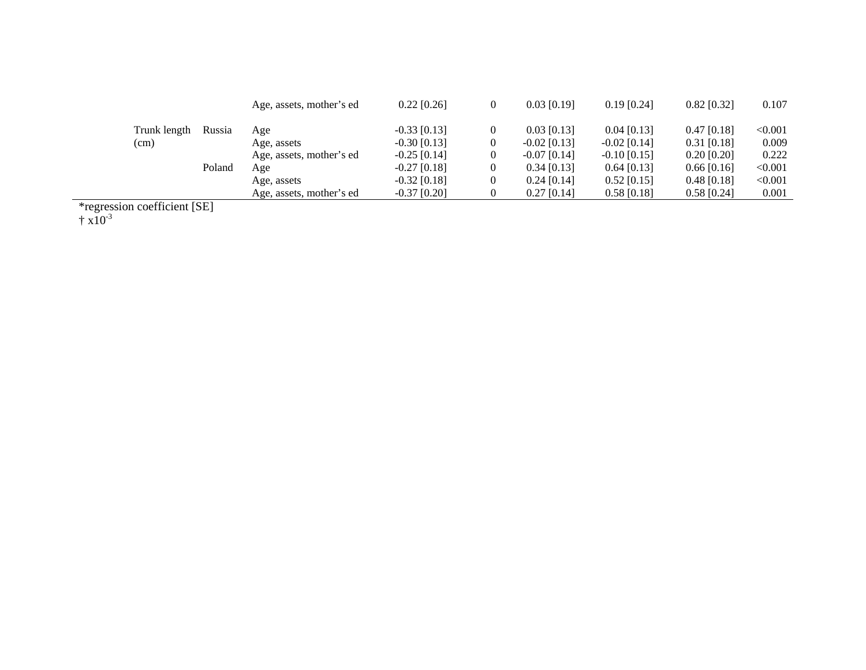|              |        | Age, assets, mother's ed | $0.22$ [0.26]  | $\theta$ | $0.03$ [0.19]  | $0.19$ [0.24]  | $0.82$ [0.32] | 0.107   |
|--------------|--------|--------------------------|----------------|----------|----------------|----------------|---------------|---------|
| Trunk length | Russia | Age                      | $-0.33$ [0.13] |          | $0.03$ [0.13]  | $0.04$ [0.13]  | $0.47$ [0.18] | < 0.001 |
| (cm)         |        | Age, assets              | $-0.30$ [0.13] |          | $-0.02$ [0.13] | $-0.02$ [0.14] | $0.31$ [0.18] | 0.009   |
|              |        | Age, assets, mother's ed | $-0.25$ [0.14] | 0        | $-0.07$ [0.14] | $-0.10$ [0.15] | $0.20$ [0.20] | 0.222   |
|              | Poland | Age                      | $-0.27$ [0.18] |          | $0.34$ [0.13]  | $0.64$ [0.13]  | $0.66$ [0.16] | < 0.001 |
|              |        | Age, assets              | $-0.32$ [0.18] | 0        | $0.24$ [0.14]  | $0.52$ [0.15]  | $0.48$ [0.18] | < 0.001 |
|              |        | Age, assets, mother's ed | $-0.37$ [0.20] |          | $0.27$ [0.14]  | $0.58$ [0.18]  | $0.58$ [0.24] | 0.001   |
|              |        |                          |                |          |                |                |               |         |

\*regression coefficient [SE]

 $\dagger$  x10<sup>-3</sup>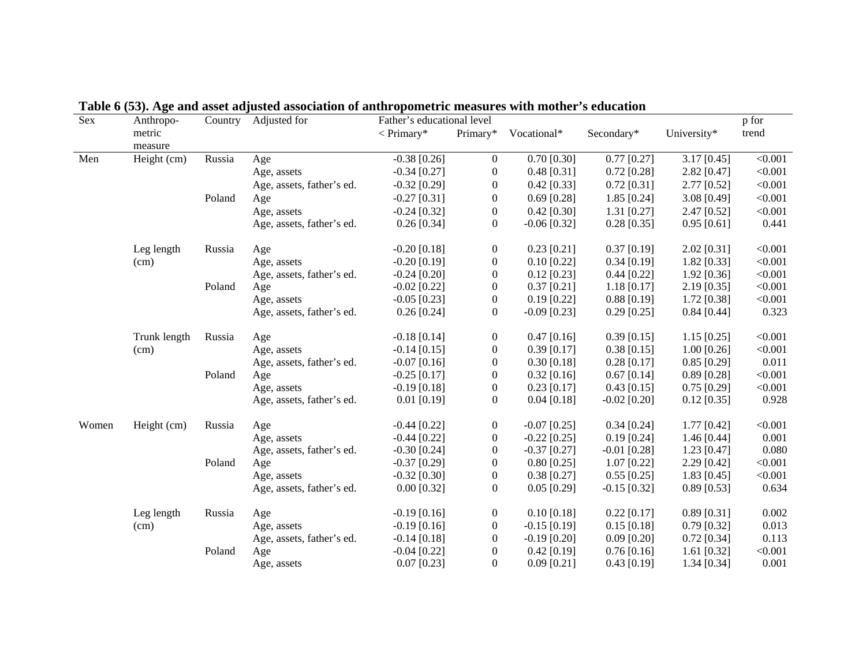| Sex   | Anthropo-    | Country | Adjusted for              | Father's educational level |                  |                |                |               | p for   |
|-------|--------------|---------|---------------------------|----------------------------|------------------|----------------|----------------|---------------|---------|
|       | metric       |         |                           | $\langle$ Primary*         | Primary*         | Vocational*    | Secondary*     | University*   | trend   |
|       | measure      |         |                           |                            |                  |                |                |               |         |
| Men   | Height (cm)  | Russia  | Age                       | $-0.38$ [0.26]             | $\boldsymbol{0}$ | $0.70$ [0.30]  | $0.77$ [0.27]  | $3.17$ [0.45] | < 0.001 |
|       |              |         | Age, assets               | $-0.34$ [0.27]             | $\boldsymbol{0}$ | $0.48$ [0.31]  | $0.72$ [0.28]  | $2.82$ [0.47] | < 0.001 |
|       |              |         | Age, assets, father's ed. | $-0.32$ [0.29]             | $\boldsymbol{0}$ | $0.42$ [0.33]  | $0.72$ [0.31]  | 2.77 [0.52]   | < 0.001 |
|       |              | Poland  | Age                       | $-0.27$ [0.31]             | $\boldsymbol{0}$ | $0.69$ [0.28]  | $1.85$ [0.24]  | 3.08 [0.49]   | < 0.001 |
|       |              |         | Age, assets               | $-0.24$ [0.32]             | $\boldsymbol{0}$ | $0.42$ [0.30]  | $1.31$ [0.27]  | 2.47 [0.52]   | < 0.001 |
|       |              |         | Age, assets, father's ed. | $0.26$ [0.34]              | $\boldsymbol{0}$ | $-0.06$ [0.32] | $0.28$ [0.35]  | $0.95$ [0.61] | 0.441   |
|       | Leg length   | Russia  | Age                       | $-0.20$ [0.18]             | $\boldsymbol{0}$ | $0.23$ [0.21]  | $0.37$ [0.19]  | 2.02 [0.31]   | < 0.001 |
|       | (cm)         |         | Age, assets               | $-0.20$ [0.19]             | $\boldsymbol{0}$ | $0.10$ [0.22]  | $0.34$ [0.19]  | $1.82$ [0.33] | < 0.001 |
|       |              |         | Age, assets, father's ed. | $-0.24$ [0.20]             | $\boldsymbol{0}$ | $0.12$ [0.23]  | $0.44$ [0.22]  | 1.92 [0.36]   | < 0.001 |
|       |              | Poland  | Age                       | $-0.02$ [0.22]             | $\boldsymbol{0}$ | $0.37$ [0.21]  | $1.18$ [0.17]  | $2.19$ [0.35] | < 0.001 |
|       |              |         | Age, assets               | $-0.05$ [0.23]             | $\boldsymbol{0}$ | $0.19$ [0.22]  | $0.88$ [0.19]  | $1.72$ [0.38] | < 0.001 |
|       |              |         | Age, assets, father's ed. | $0.26$ [0.24]              | $\boldsymbol{0}$ | $-0.09$ [0.23] | $0.29$ [0.25]  | $0.84$ [0.44] | 0.323   |
|       | Trunk length | Russia  | Age                       | $-0.18$ [0.14]             | $\mathbf{0}$     | $0.47$ [0.16]  | $0.39$ [0.15]  | $1.15$ [0.25] | < 0.001 |
|       | (cm)         |         | Age, assets               | $-0.14$ [0.15]             | $\boldsymbol{0}$ | $0.39$ [0.17]  | $0.38$ [0.15]  | $1.00$ [0.26] | < 0.001 |
|       |              |         | Age, assets, father's ed. | $-0.07$ [0.16]             | $\boldsymbol{0}$ | $0.30$ [0.18]  | $0.28$ [0.17]  | $0.85$ [0.29] | 0.011   |
|       |              | Poland  | Age                       | $-0.25$ [0.17]             | $\boldsymbol{0}$ | $0.32$ [0.16]  | $0.67$ [0.14]  | $0.89$ [0.28] | < 0.001 |
|       |              |         | Age, assets               | $-0.19$ [0.18]             | $\boldsymbol{0}$ | $0.23$ [0.17]  | $0.43$ [0.15]  | $0.75$ [0.29] | < 0.001 |
|       |              |         | Age, assets, father's ed. | $0.01$ [0.19]              | $\overline{0}$   | $0.04$ [0.18]  | $-0.02$ [0.20] | $0.12$ [0.35] | 0.928   |
| Women | Height (cm)  | Russia  | Age                       | $-0.44$ [0.22]             | $\boldsymbol{0}$ | $-0.07$ [0.25] | $0.34$ [0.24]  | $1.77$ [0.42] | < 0.001 |
|       |              |         | Age, assets               | $-0.44$ [0.22]             | $\boldsymbol{0}$ | $-0.22$ [0.25] | $0.19$ [0.24]  | $1.46$ [0.44] | 0.001   |
|       |              |         | Age, assets, father's ed. | $-0.30$ [0.24]             | $\boldsymbol{0}$ | $-0.37$ [0.27] | $-0.01$ [0.28] | $1.23$ [0.47] | 0.080   |
|       |              | Poland  | Age                       | $-0.37$ [0.29]             | $\boldsymbol{0}$ | $0.80$ [0.25]  | $1.07$ [0.22]  | $2.29$ [0.42] | < 0.001 |
|       |              |         | Age, assets               | $-0.32$ [0.30]             | $\boldsymbol{0}$ | $0.38$ [0.27]  | $0.55$ [0.25]  | $1.83$ [0.45] | < 0.001 |
|       |              |         | Age, assets, father's ed. | $0.00$ [0.32]              | $\overline{0}$   | $0.05$ [0.29]  | $-0.15$ [0.32] | $0.89$ [0.53] | 0.634   |
|       | Leg length   | Russia  | Age                       | $-0.19$ [0.16]             | $\boldsymbol{0}$ | $0.10$ [0.18]  | $0.22$ [0.17]  | $0.89$ [0.31] | 0.002   |
|       | (cm)         |         | Age, assets               | $-0.19$ [0.16]             | $\boldsymbol{0}$ | $-0.15$ [0.19] | $0.15$ [0.18]  | $0.79$ [0.32] | 0.013   |
|       |              |         | Age, assets, father's ed. | $-0.14$ [0.18]             | $\boldsymbol{0}$ | $-0.19$ [0.20] | $0.09$ [0.20]  | $0.72$ [0.34] | 0.113   |
|       |              | Poland  | Age                       | $-0.04$ [0.22]             | $\boldsymbol{0}$ | $0.42$ [0.19]  | $0.76$ [0.16]  | $1.61$ [0.32] | < 0.001 |
|       |              |         | Age, assets               | $0.07$ [0.23]              | $\mathbf{0}$     | $0.09$ [0.21]  | $0.43$ [0.19]  | $1.34$ [0.34] | 0.001   |

| Table 6 (53). Age and asset adjusted association of anthropometric measures with mother's education |  |  |  |
|-----------------------------------------------------------------------------------------------------|--|--|--|
|                                                                                                     |  |  |  |
|                                                                                                     |  |  |  |
|                                                                                                     |  |  |  |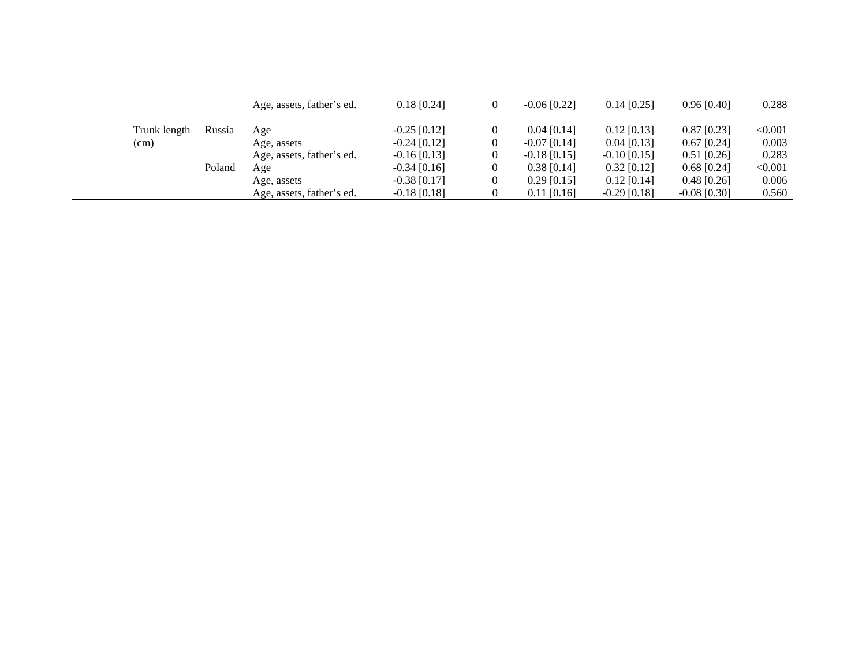|              |        | Age, assets, father's ed. | $0.18$ [0.24]  |   | $-0.06$ [0.22] | $0.14$ [0.25]  | $0.96$ [0.40]  | 0.288   |
|--------------|--------|---------------------------|----------------|---|----------------|----------------|----------------|---------|
| Trunk length | Russia | Age                       | $-0.25$ [0.12] |   | $0.04$ [0.14]  | $0.12$ [0.13]  | $0.87$ [0.23]  | < 0.001 |
| (cm)         |        | Age, assets               | $-0.24$ [0.12] | 0 | $-0.07$ [0.14] | $0.04$ [0.13]  | $0.67$ [0.24]  | 0.003   |
|              |        | Age, assets, father's ed. | $-0.16$ [0.13] | 0 | $-0.18$ [0.15] | $-0.10$ [0.15] | $0.51$ [0.26]  | 0.283   |
|              | Poland | Age                       | $-0.34$ [0.16] |   | $0.38$ [0.14]  | $0.32$ [0.12]  | $0.68$ [0.24]  | < 0.001 |
|              |        | Age, assets               | $-0.38$ [0.17] | 0 | $0.29$ [0.15]  | $0.12$ [0.14]  | $0.48$ [0.26]  | 0.006   |
|              |        | Age, assets, father's ed. | $-0.18$ [0.18] |   | $0.11$ [0.16]  | $-0.29$ [0.18] | $-0.08$ [0.30] | 0.560   |
|              |        |                           |                |   |                |                |                |         |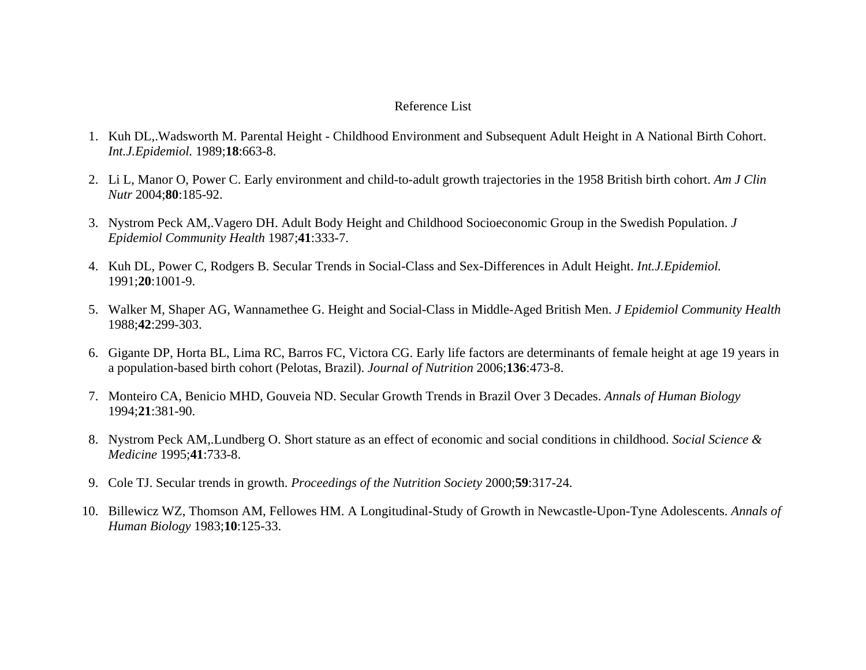#### Reference List

- 1. Kuh DL,.Wadsworth M. Parental Height Childhood Environment and Subsequent Adult Height in A National Birth Cohort. *Int.J.Epidemiol.* 1989;**18**:663-8.
- 2. Li L, Manor O, Power C. Early environment and child-to-adult growth trajectories in the 1958 British birth cohort. *Am J Clin Nutr* 2004;**80**:185-92.
- 3. Nystrom Peck AM,.Vagero DH. Adult Body Height and Childhood Socioeconomic Group in the Swedish Population. *J Epidemiol Community Health* 1987;**41**:333-7.
- 4. Kuh DL, Power C, Rodgers B. Secular Trends in Social-Class and Sex-Differences in Adult Height. *Int.J.Epidemiol.* 1991;**20**:1001-9.
- 5. Walker M, Shaper AG, Wannamethee G. Height and Social-Class in Middle-Aged British Men. *J Epidemiol Community Health* 1988;**42**:299-303.
- 6. Gigante DP, Horta BL, Lima RC, Barros FC, Victora CG. Early life factors are determinants of female height at age 19 years in a population-based birth cohort (Pelotas, Brazil). *Journal of Nutrition* 2006;**136**:473-8.
- 7. Monteiro CA, Benicio MHD, Gouveia ND. Secular Growth Trends in Brazil Over 3 Decades. *Annals of Human Biology* 1994;**21**:381-90.
- 8. Nystrom Peck AM,.Lundberg O. Short stature as an effect of economic and social conditions in childhood. *Social Science & Medicine* 1995;**41**:733-8.
- 9. Cole TJ. Secular trends in growth. *Proceedings of the Nutrition Society* 2000;**59**:317-24.
- 10. Billewicz WZ, Thomson AM, Fellowes HM. A Longitudinal-Study of Growth in Newcastle-Upon-Tyne Adolescents. *Annals of Human Biology* 1983;**10**:125-33.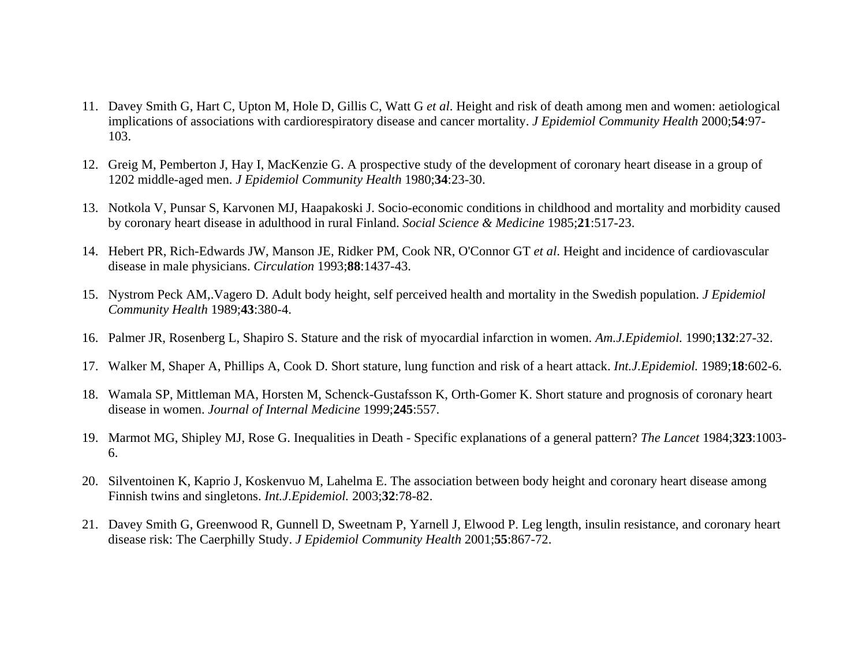- 11. Davey Smith G, Hart C, Upton M, Hole D, Gillis C, Watt G *et al*. Height and risk of death among men and women: aetiological implications of associations with cardiorespiratory disease and cancer mortality. *J Epidemiol Community Health* 2000;**54**:97- 103.
- 12. Greig M, Pemberton J, Hay I, MacKenzie G. A prospective study of the development of coronary heart disease in a group of 1202 middle-aged men. *J Epidemiol Community Health* 1980;**34**:23-30.
- 13. Notkola V, Punsar S, Karvonen MJ, Haapakoski J. Socio-economic conditions in childhood and mortality and morbidity caused by coronary heart disease in adulthood in rural Finland. *Social Science & Medicine* 1985;**21**:517-23.
- 14. Hebert PR, Rich-Edwards JW, Manson JE, Ridker PM, Cook NR, O'Connor GT *et al*. Height and incidence of cardiovascular disease in male physicians. *Circulation* 1993;**88**:1437-43.
- 15. Nystrom Peck AM,.Vagero D. Adult body height, self perceived health and mortality in the Swedish population. *J Epidemiol Community Health* 1989;**43**:380-4.
- 16. Palmer JR, Rosenberg L, Shapiro S. Stature and the risk of myocardial infarction in women. *Am.J.Epidemiol.* 1990;**132**:27-32.
- 17. Walker M, Shaper A, Phillips A, Cook D. Short stature, lung function and risk of a heart attack. *Int.J.Epidemiol.* 1989;**18**:602-6.
- 18. Wamala SP, Mittleman MA, Horsten M, Schenck-Gustafsson K, Orth-Gomer K. Short stature and prognosis of coronary heart disease in women. *Journal of Internal Medicine* 1999;**245**:557.
- 19. Marmot MG, Shipley MJ, Rose G. Inequalities in Death Specific explanations of a general pattern? *The Lancet* 1984;**323**:1003- 6.
- 20. Silventoinen K, Kaprio J, Koskenvuo M, Lahelma E. The association between body height and coronary heart disease among Finnish twins and singletons. *Int.J.Epidemiol.* 2003;**32**:78-82.
- 21. Davey Smith G, Greenwood R, Gunnell D, Sweetnam P, Yarnell J, Elwood P. Leg length, insulin resistance, and coronary heart disease risk: The Caerphilly Study. *J Epidemiol Community Health* 2001;**55**:867-72.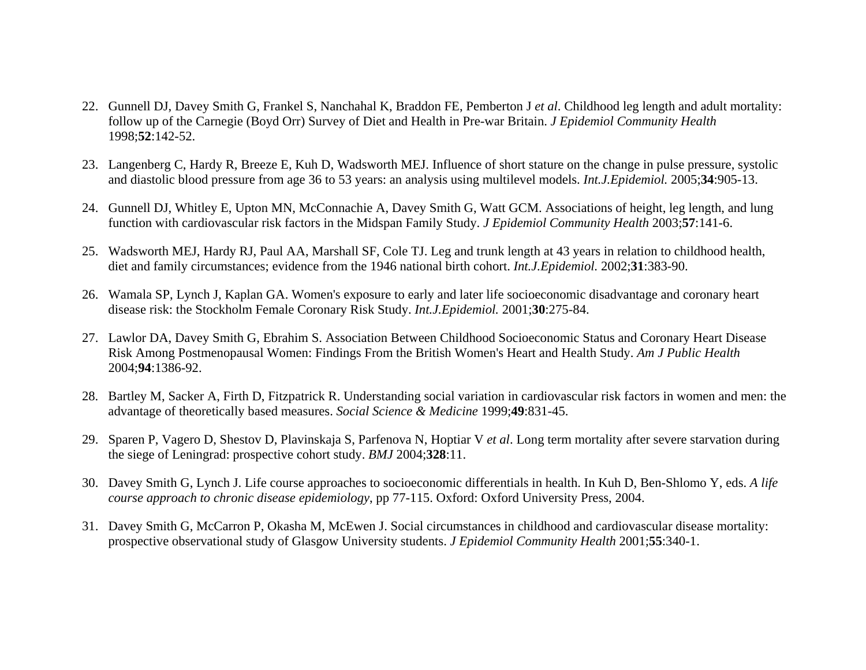- 22. Gunnell DJ, Davey Smith G, Frankel S, Nanchahal K, Braddon FE, Pemberton J *et al*. Childhood leg length and adult mortality: follow up of the Carnegie (Boyd Orr) Survey of Diet and Health in Pre-war Britain. *J Epidemiol Community Health* 1998;**52**:142-52.
- 23. Langenberg C, Hardy R, Breeze E, Kuh D, Wadsworth MEJ. Influence of short stature on the change in pulse pressure, systolic and diastolic blood pressure from age 36 to 53 years: an analysis using multilevel models. *Int.J.Epidemiol.* 2005;**34**:905-13.
- 24. Gunnell DJ, Whitley E, Upton MN, McConnachie A, Davey Smith G, Watt GCM. Associations of height, leg length, and lung function with cardiovascular risk factors in the Midspan Family Study. *J Epidemiol Community Health* 2003;**57**:141-6.
- 25. Wadsworth MEJ, Hardy RJ, Paul AA, Marshall SF, Cole TJ. Leg and trunk length at 43 years in relation to childhood health, diet and family circumstances; evidence from the 1946 national birth cohort. *Int.J.Epidemiol.* 2002;**31**:383-90.
- 26. Wamala SP, Lynch J, Kaplan GA. Women's exposure to early and later life socioeconomic disadvantage and coronary heart disease risk: the Stockholm Female Coronary Risk Study. *Int.J.Epidemiol.* 2001;**30**:275-84.
- 27. Lawlor DA, Davey Smith G, Ebrahim S. Association Between Childhood Socioeconomic Status and Coronary Heart Disease Risk Among Postmenopausal Women: Findings From the British Women's Heart and Health Study. *Am J Public Health* 2004;**94**:1386-92.
- 28. Bartley M, Sacker A, Firth D, Fitzpatrick R. Understanding social variation in cardiovascular risk factors in women and men: the advantage of theoretically based measures. *Social Science & Medicine* 1999;**49**:831-45.
- 29. Sparen P, Vagero D, Shestov D, Plavinskaja S, Parfenova N, Hoptiar V *et al*. Long term mortality after severe starvation during the siege of Leningrad: prospective cohort study. *BMJ* 2004;**328**:11.
- 30. Davey Smith G, Lynch J. Life course approaches to socioeconomic differentials in health. In Kuh D, Ben-Shlomo Y, eds. *A life course approach to chronic disease epidemiology*, pp 77-115. Oxford: Oxford University Press, 2004.
- 31. Davey Smith G, McCarron P, Okasha M, McEwen J. Social circumstances in childhood and cardiovascular disease mortality: prospective observational study of Glasgow University students. *J Epidemiol Community Health* 2001;**55**:340-1.